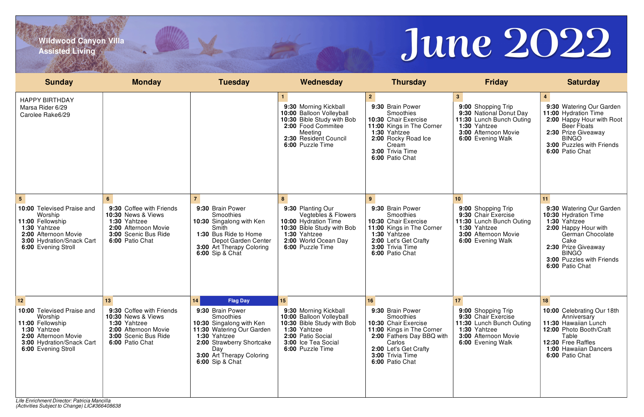*(Activities Subject to Change) LIC#366408638*



**Wildwood Canyon Villa Assisted Living**

| 2 <sup>2</sup><br>3 <sup>1</sup><br><b>HAPPY BIRTHDAY</b><br>9:30 Morning Kickball<br>9:30 Brain Power<br>9:00 Shopping Trip<br>Marsa Rider 6/29<br>10:00 Balloon Volleyball<br>Smoothies<br>9:30 National Donut Day<br>Carolee Rake6/29<br>10:30 Bible Study with Bob<br>10:30 Chair Exercise<br>11:30 Lunch Bunch Outing<br>1:30 Yahtzee<br>2:00 Food Commitee<br>11:00 Kings in The Corner<br>3:00 Afternoon Movie<br>1:30 Yahtzee<br>Meeting<br>2:30 Resident Council<br>2:00 Rocky Road Ice<br>6:00 Evening Walk<br>6:00 Puzzle Time<br>Cream<br>3:00 Trivia Time<br>6:00 Patio Chat<br>$5\overline{5}$<br>8<br>10 <sup>1</sup><br>6<br>10:00 Televised Praise and<br>9:30 Coffee with Friends<br>9:30 Brain Power<br>9:30 Planting Our<br>9:30 Brain Power<br>9:00 Shopping Trip<br><b>10:30 News &amp; Views</b><br><b>Smoothies</b><br>Vegtebles & Flowers<br><b>Smoothies</b><br>9:30 Chair Exercise<br>Worship<br>10:30 Singalong with Ken<br>10:00 Hydration Time<br>10:30 Chair Exercise<br>11:00 Fellowship<br>1:30 Yahtzee<br>11:30 Lunch Bunch Outing<br>1:30 Yahtzee<br>2:00 Afternoon Movie<br>1:30 Yahtzee<br>Smith<br>10:30 Bible Study with Bob<br>11:00 Kings in The Corner<br>1:30 Yahtzee<br>3:00 Afternoon Movie<br>2:00 Afternoon Movie<br>3:00 Scenic Bus Ride<br>1:30 Bus Ride to Home<br>1:30 Yahtzee<br>6:00 Patio Chat<br>3:00 Hydration/Snack Cart<br>Depot Garden Center<br>2:00 World Ocean Day<br>2:00 Let's Get Crafty<br>6:00 Evening Walk<br>6:00 Puzzle Time<br>3:00 Trivia Time<br>6:00 Evening Stroll<br>3:00 Art Therapy Coloring<br>6:00 Sip & Chat<br>6:00 Patio Chat | 9:30 Watering Our Garden<br>11:00 Hydration Time<br>2:00 Happy Hour with Root<br><b>Beer Floats</b><br>2:30 Prize Giveaway<br><b>BINGO</b><br>3:00 Puzzles with Friends<br>6:00 Patio Chat |
|------------------------------------------------------------------------------------------------------------------------------------------------------------------------------------------------------------------------------------------------------------------------------------------------------------------------------------------------------------------------------------------------------------------------------------------------------------------------------------------------------------------------------------------------------------------------------------------------------------------------------------------------------------------------------------------------------------------------------------------------------------------------------------------------------------------------------------------------------------------------------------------------------------------------------------------------------------------------------------------------------------------------------------------------------------------------------------------------------------------------------------------------------------------------------------------------------------------------------------------------------------------------------------------------------------------------------------------------------------------------------------------------------------------------------------------------------------------------------------------------------------------------------------------------------------------------------------------------------------------|--------------------------------------------------------------------------------------------------------------------------------------------------------------------------------------------|
|                                                                                                                                                                                                                                                                                                                                                                                                                                                                                                                                                                                                                                                                                                                                                                                                                                                                                                                                                                                                                                                                                                                                                                                                                                                                                                                                                                                                                                                                                                                                                                                                                  |                                                                                                                                                                                            |
|                                                                                                                                                                                                                                                                                                                                                                                                                                                                                                                                                                                                                                                                                                                                                                                                                                                                                                                                                                                                                                                                                                                                                                                                                                                                                                                                                                                                                                                                                                                                                                                                                  | 9:30 Watering Our Garden                                                                                                                                                                   |
|                                                                                                                                                                                                                                                                                                                                                                                                                                                                                                                                                                                                                                                                                                                                                                                                                                                                                                                                                                                                                                                                                                                                                                                                                                                                                                                                                                                                                                                                                                                                                                                                                  | 10:30 Hydration Time<br>1:30 Yahtzee<br>2:00 Happy Hour with<br>German Chocolate<br>Cake<br>2:30 Prize Giveaway<br><b>BINGO</b><br>3:00 Puzzles with Friends<br>6:00 Patio Chat            |
| 12<br>14<br><b>Flag Day</b><br>15<br>16<br>17 <sub>2</sub><br>10:00 Televised Praise and<br>9:30 Coffee with Friends<br>9:30 Brain Power<br>9:30 Morning Kickball<br>9:30 Brain Power<br>9:00 Shopping Trip                                                                                                                                                                                                                                                                                                                                                                                                                                                                                                                                                                                                                                                                                                                                                                                                                                                                                                                                                                                                                                                                                                                                                                                                                                                                                                                                                                                                      | 10:00 Celebrating Our 18th                                                                                                                                                                 |
| <b>Smoothies</b><br>10:00 Balloon Volleyball<br>9:30 Chair Exercise<br>Worship<br><b>10:30 News &amp; Views</b><br>Smoothies<br>1:30 Yahtzee<br>10:30 Singalong with Ken<br>10:30 Chair Exercise<br>11:00 Fellowship<br>10:30 Bible Study with Bob<br>11:30 Lunch Bunch Outing<br>1:30 Yahtzee<br>2:00 Afternoon Movie<br>1:30 Yahtzee<br>11:00 Kings in The Corner<br>1:30 Yahtzee<br><b>11:30 Watering Our Garden</b><br>2:00 Afternoon Movie<br>1:30 Yahtzee<br>2:00 Patio Social<br>3:00 Scenic Bus Ride<br>3:00 Afternoon Movie<br>2:00 Fathers Day BBQ with<br>2:00 Strawberry Shortcake<br>3:00 Ice Tea Social<br>Carlos<br>3:00 Hydration/Snack Cart<br>6:00 Patio Chat<br>6:00 Evening Walk<br>2:00 Let's Get Crafty<br>6:00 Puzzle Time<br>6:00 Evening Stroll<br>Day<br>3:00 Art Therapy Coloring<br>3:00 Trivia Time<br>6:00 Patio Chat<br><b>6:00 Sip &amp; Chat</b><br>Life Enrichment Director: Patricia Mancilla                                                                                                                                                                                                                                                                                                                                                                                                                                                                                                                                                                                                                                                                                 | Anniversary<br>11:30 Hawaiian Lunch<br>12:00 Photo Booth/Craft<br>Table<br>12:30 Free Raffles<br><b>1:00 Hawaiian Dancers</b><br>6:00 Patio Chat                                           |